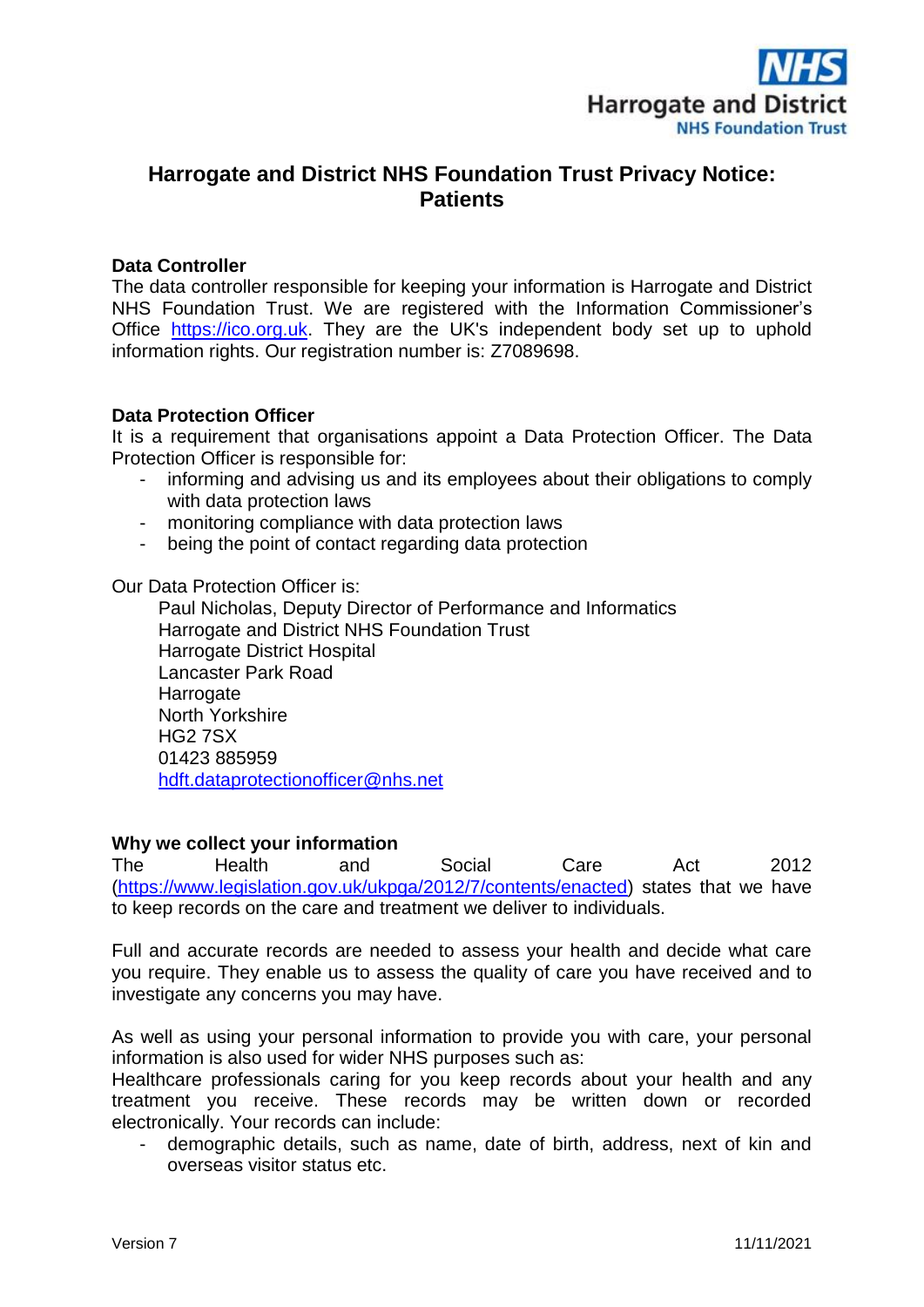

# **Harrogate and District NHS Foundation Trust Privacy Notice: Patients**

#### **Data Controller**

The data controller responsible for keeping your information is Harrogate and District NHS Foundation Trust. We are registered with the Information Commissioner's Office [https://ico.org.uk.](https://ico.org.uk/) They are the UK's independent body set up to uphold information rights. Our registration number is: Z7089698.

#### **Data Protection Officer**

It is a requirement that organisations appoint a Data Protection Officer. The Data Protection Officer is responsible for:

- informing and advising us and its employees about their obligations to comply with data protection laws
- monitoring compliance with data protection laws
- being the point of contact regarding data protection

Our Data Protection Officer is:

Paul Nicholas, Deputy Director of Performance and Informatics Harrogate and District NHS Foundation Trust Harrogate District Hospital Lancaster Park Road **Harrogate** North Yorkshire HG2 7SX 01423 885959 [hdft.dataprotectionofficer@nhs.net](mailto:hdft.dataprotectionofficer@nhs.net)

#### **Why we collect your information**

The Health and Social Care Act 2012 [\(https://www.legislation.gov.uk/ukpga/2012/7/contents/enacted\)](https://www.legislation.gov.uk/ukpga/2012/7/contents/enacted) states that we have to keep records on the care and treatment we deliver to individuals.

Full and accurate records are needed to assess your health and decide what care you require. They enable us to assess the quality of care you have received and to investigate any concerns you may have.

As well as using your personal information to provide you with care, your personal information is also used for wider NHS purposes such as:

Healthcare professionals caring for you keep records about your health and any treatment you receive. These records may be written down or recorded electronically. Your records can include:

demographic details, such as name, date of birth, address, next of kin and overseas visitor status etc.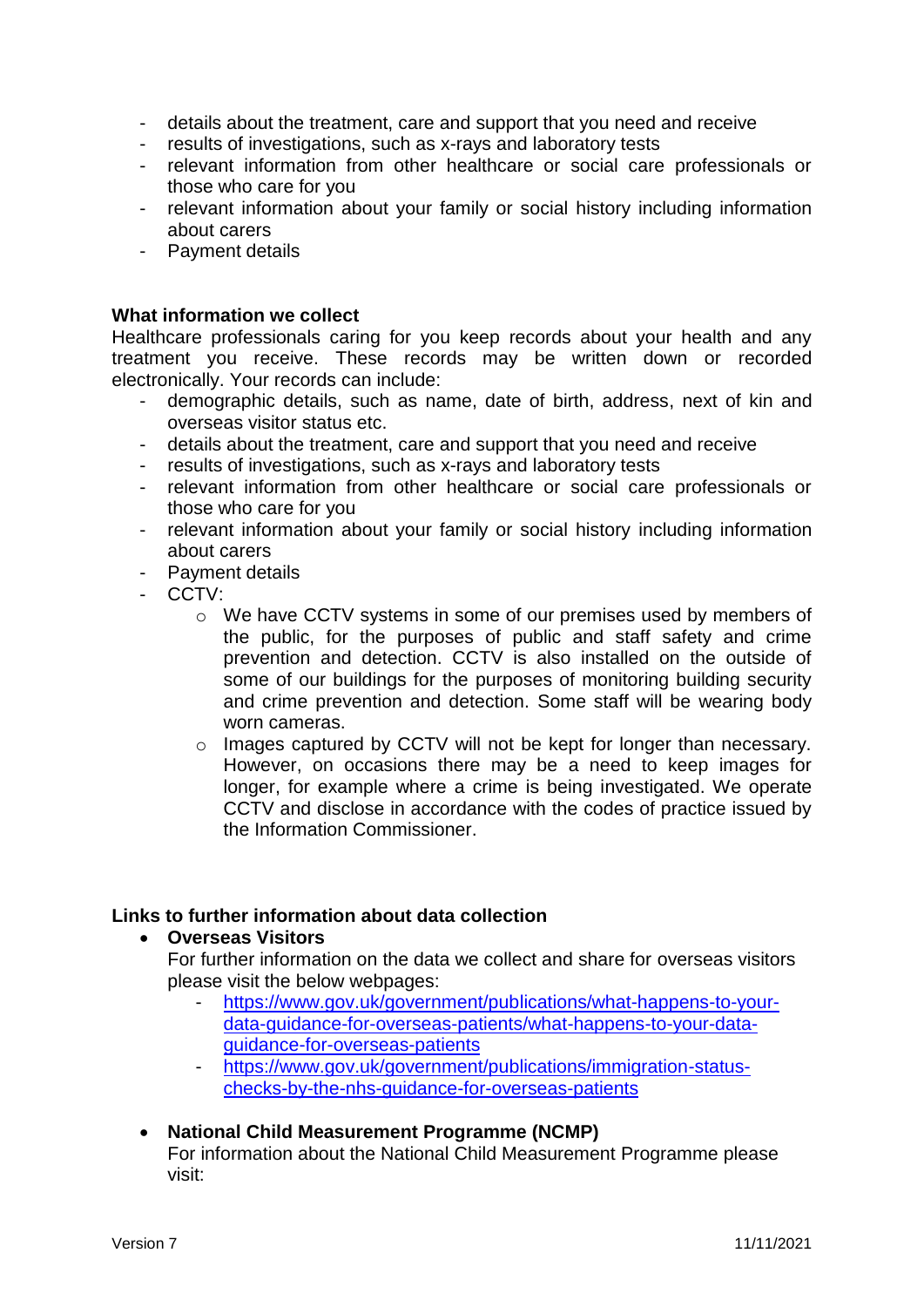- details about the treatment, care and support that you need and receive
- results of investigations, such as x-rays and laboratory tests
- relevant information from other healthcare or social care professionals or those who care for you
- relevant information about your family or social history including information about carers
- Payment details

#### **What information we collect**

Healthcare professionals caring for you keep records about your health and any treatment you receive. These records may be written down or recorded electronically. Your records can include:

- demographic details, such as name, date of birth, address, next of kin and overseas visitor status etc.
- details about the treatment, care and support that you need and receive
- results of investigations, such as x-rays and laboratory tests
- relevant information from other healthcare or social care professionals or those who care for you
- relevant information about your family or social history including information about carers
- Payment details
- CCTV:
	- o We have CCTV systems in some of our premises used by members of the public, for the purposes of public and staff safety and crime prevention and detection. CCTV is also installed on the outside of some of our buildings for the purposes of monitoring building security and crime prevention and detection. Some staff will be wearing body worn cameras.
	- o Images captured by CCTV will not be kept for longer than necessary. However, on occasions there may be a need to keep images for longer, for example where a crime is being investigated. We operate CCTV and disclose in accordance with the codes of practice issued by the Information Commissioner.

#### **Links to further information about data collection**

**Overseas Visitors**

For further information on the data we collect and share for overseas visitors please visit the below webpages:

- [https://www.gov.uk/government/publications/what-happens-to-your](https://www.gov.uk/government/publications/what-happens-to-your-data-guidance-for-overseas-patients/what-happens-to-your-data-guidance-for-overseas-patients)[data-guidance-for-overseas-patients/what-happens-to-your-data](https://www.gov.uk/government/publications/what-happens-to-your-data-guidance-for-overseas-patients/what-happens-to-your-data-guidance-for-overseas-patients)[guidance-for-overseas-patients](https://www.gov.uk/government/publications/what-happens-to-your-data-guidance-for-overseas-patients/what-happens-to-your-data-guidance-for-overseas-patients)
- [https://www.gov.uk/government/publications/immigration-status](https://www.gov.uk/government/publications/immigration-status-checks-by-the-nhs-guidance-for-overseas-patients)[checks-by-the-nhs-guidance-for-overseas-patients](https://www.gov.uk/government/publications/immigration-status-checks-by-the-nhs-guidance-for-overseas-patients)

# **National Child Measurement Programme (NCMP)**

For information about the National Child Measurement Programme please visit: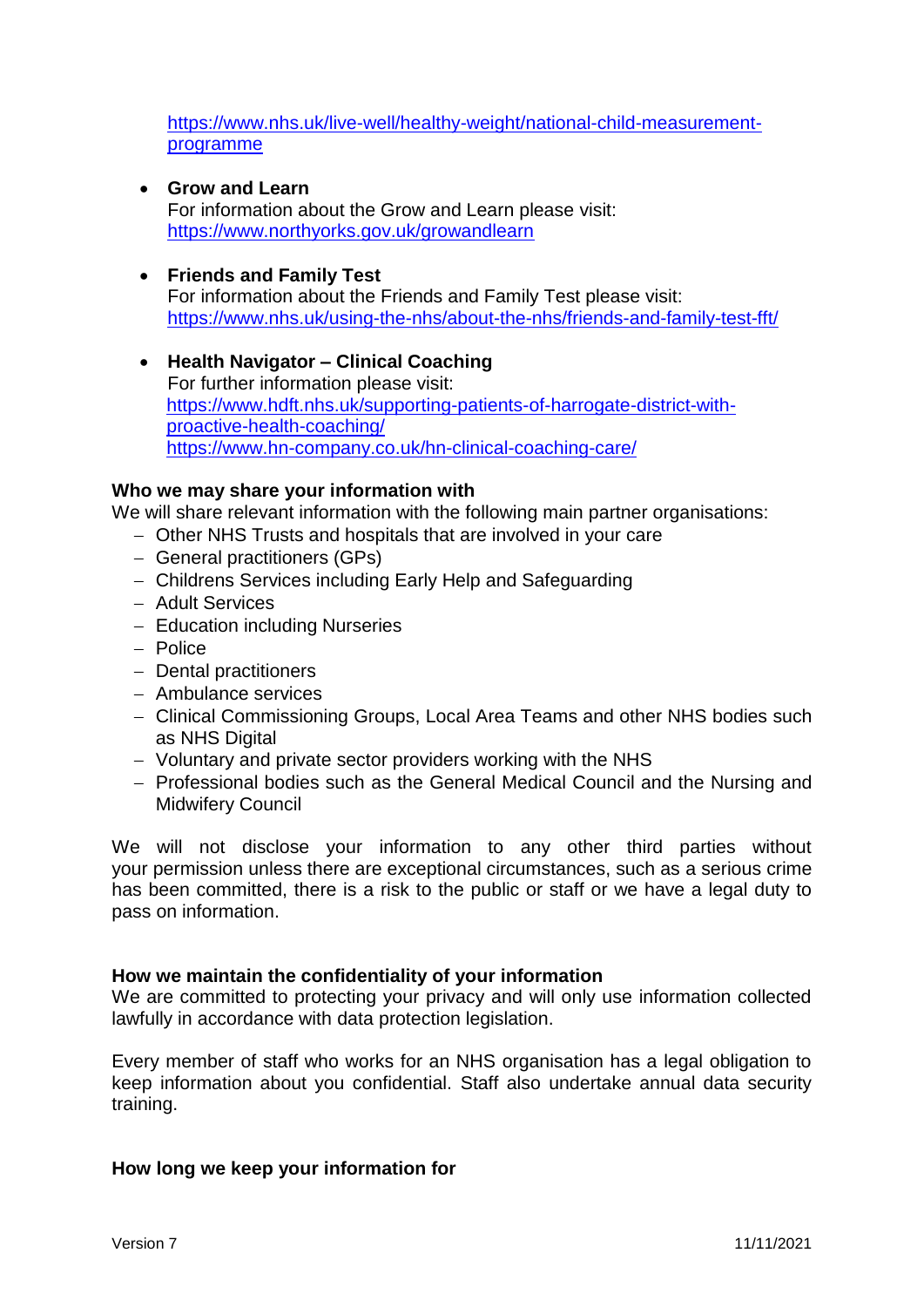[https://www.nhs.uk/live-well/healthy-weight/national-child-measurement](https://www.nhs.uk/live-well/healthy-weight/national-child-measurement-programme)[programme](https://www.nhs.uk/live-well/healthy-weight/national-child-measurement-programme)

**Grow and Learn**

For information about the Grow and Learn please visit: <https://www.northyorks.gov.uk/growandlearn>

### **Friends and Family Test**

For information about the Friends and Family Test please visit: <https://www.nhs.uk/using-the-nhs/about-the-nhs/friends-and-family-test-fft/>

 **Health Navigator – Clinical Coaching** For further information please visit: [https://www.hdft.nhs.uk/supporting-patients-of-harrogate-district-with](https://www.hdft.nhs.uk/supporting-patients-of-harrogate-district-with-proactive-health-coaching/)[proactive-health-coaching/](https://www.hdft.nhs.uk/supporting-patients-of-harrogate-district-with-proactive-health-coaching/) <https://www.hn-company.co.uk/hn-clinical-coaching-care/>

#### **Who we may share your information with**

We will share relevant information with the following main partner organisations:

- Other NHS Trusts and hospitals that are involved in your care
- General practitioners (GPs)
- Childrens Services including Early Help and Safeguarding
- Adult Services
- Education including Nurseries
- Police
- Dental practitioners
- Ambulance services
- Clinical Commissioning Groups, Local Area Teams and other NHS bodies such as NHS Digital
- Voluntary and private sector providers working with the NHS
- Professional bodies such as the General Medical Council and the Nursing and Midwifery Council

We will not disclose your information to any other third parties without your permission unless there are exceptional circumstances, such as a serious crime has been committed, there is a risk to the public or staff or we have a legal duty to pass on information.

#### **How we maintain the confidentiality of your information**

We are committed to protecting your privacy and will only use information collected lawfully in accordance with data protection legislation.

Every member of staff who works for an NHS organisation has a legal obligation to keep information about you confidential. Staff also undertake annual data security training.

# **How long we keep your information for**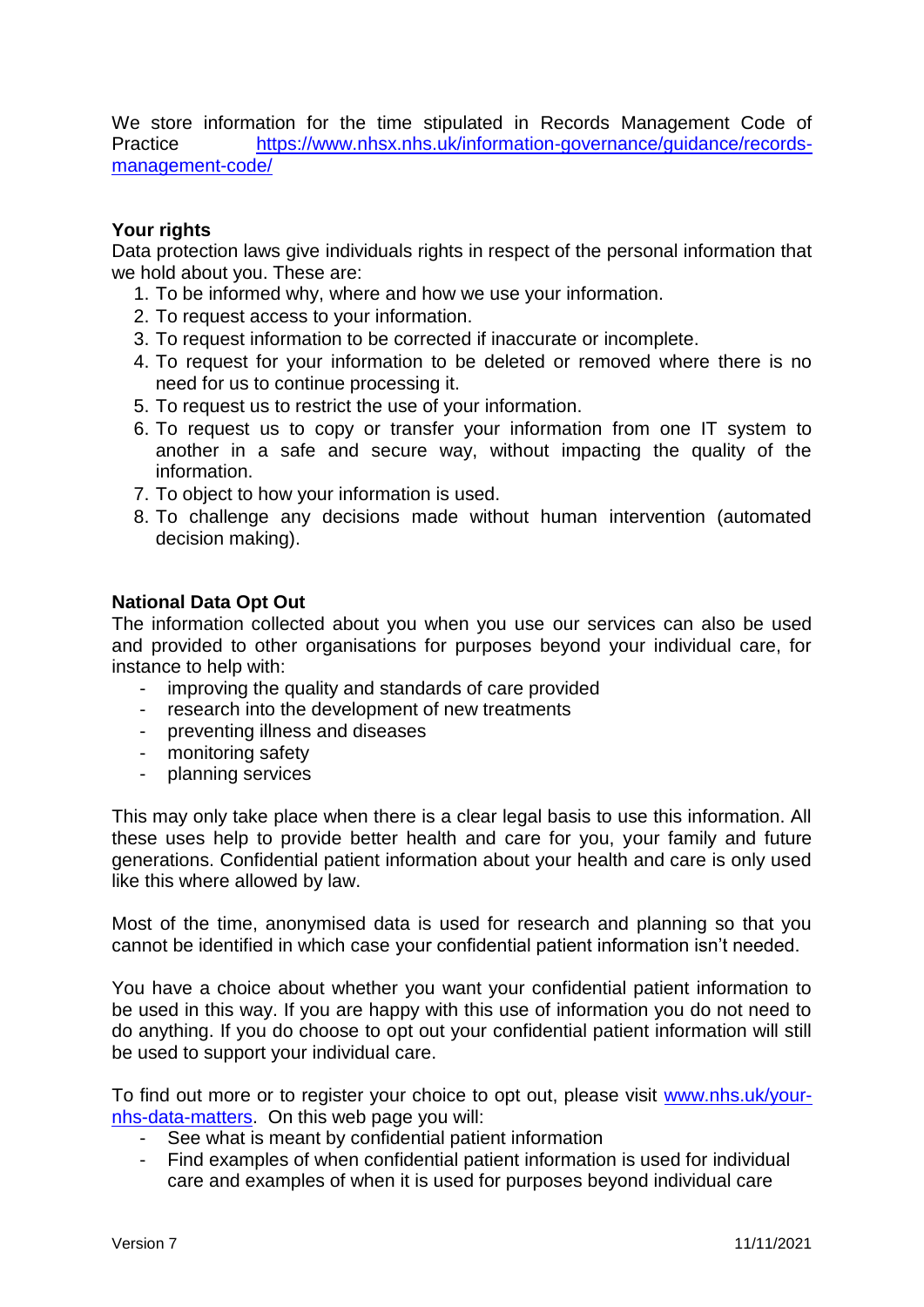We store information for the time stipulated in Records Management Code of Practice [https://www.nhsx.nhs.uk/information-governance/guidance/records](https://www.nhsx.nhs.uk/information-governance/guidance/records-management-code/)[management-code/](https://www.nhsx.nhs.uk/information-governance/guidance/records-management-code/)

# **Your rights**

Data protection laws give individuals rights in respect of the personal information that we hold about you. These are:

- 1. To be informed why, where and how we use your information.
- 2. To request access to your information.
- 3. To request information to be corrected if inaccurate or incomplete.
- 4. To request for your information to be deleted or removed where there is no need for us to continue processing it.
- 5. To request us to restrict the use of your information.
- 6. To request us to copy or transfer your information from one IT system to another in a safe and secure way, without impacting the quality of the information.
- 7. To object to how your information is used.
- 8. To challenge any decisions made without human intervention (automated decision making).

### **National Data Opt Out**

The information collected about you when you use our services can also be used and provided to other organisations for purposes beyond your individual care, for instance to help with:

- improving the quality and standards of care provided
- research into the development of new treatments
- preventing illness and diseases
- monitoring safety
- planning services

This may only take place when there is a clear legal basis to use this information. All these uses help to provide better health and care for you, your family and future generations. Confidential patient information about your health and care is only used like this where allowed by law.

Most of the time, anonymised data is used for research and planning so that you cannot be identified in which case your confidential patient information isn't needed.

You have a choice about whether you want your confidential patient information to be used in this way. If you are happy with this use of information you do not need to do anything. If you do choose to opt out your confidential patient information will still be used to support your individual care.

To find out more or to register your choice to opt out, please visit [www.nhs.uk/your](http://www.nhs.uk/your-nhs-data-matters)[nhs-data-matters.](http://www.nhs.uk/your-nhs-data-matters) On this web page you will:

- See what is meant by confidential patient information
- Find examples of when confidential patient information is used for individual care and examples of when it is used for purposes beyond individual care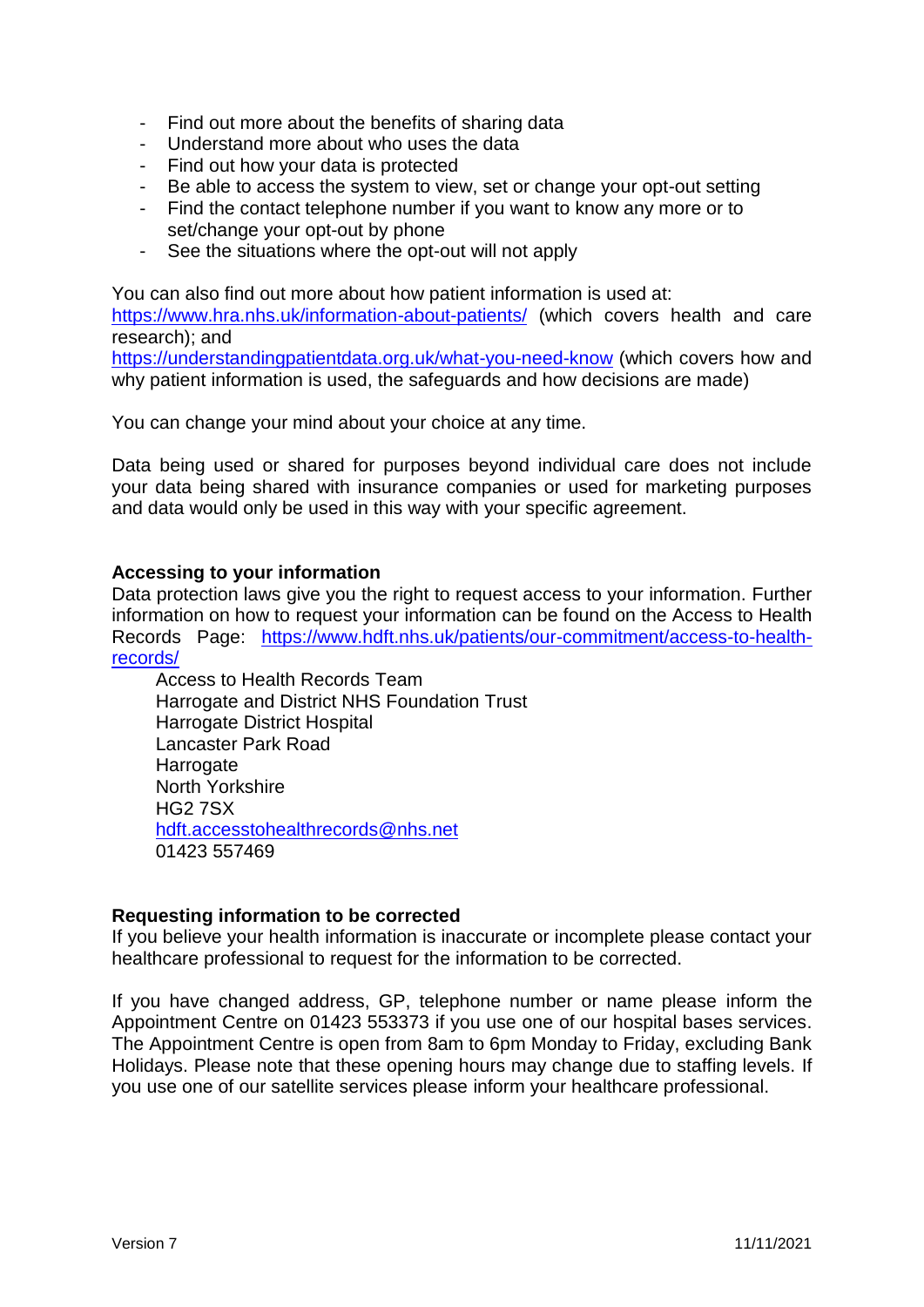- Find out more about the benefits of sharing data
- Understand more about who uses the data
- Find out how your data is protected
- Be able to access the system to view, set or change your opt-out setting
- Find the contact telephone number if you want to know any more or to set/change your opt-out by phone
- See the situations where the opt-out will not apply

You can also find out more about how patient information is used at: <https://www.hra.nhs.uk/information-about-patients/> (which covers health and care research); and <https://understandingpatientdata.org.uk/what-you-need-know> (which covers how and why patient information is used, the safeguards and how decisions are made)

You can change your mind about your choice at any time.

Data being used or shared for purposes beyond individual care does not include your data being shared with insurance companies or used for marketing purposes and data would only be used in this way with your specific agreement.

#### **Accessing to your information**

Data protection laws give you the right to request access to your information. Further information on how to request your information can be found on the Access to Health Records Page: [https://www.hdft.nhs.uk/patients/our-commitment/access-to-health](https://www.hdft.nhs.uk/patients/our-commitment/access-to-health-records/)[records/](https://www.hdft.nhs.uk/patients/our-commitment/access-to-health-records/)

Access to Health Records Team Harrogate and District NHS Foundation Trust Harrogate District Hospital Lancaster Park Road **Harrogate** North Yorkshire HG2 7SX [hdft.accesstohealthrecords@nhs.net](mailto:hdft.informationgovernance@nhs.net) 01423 557469

#### **Requesting information to be corrected**

If you believe your health information is inaccurate or incomplete please contact your healthcare professional to request for the information to be corrected.

If you have changed address, GP, telephone number or name please inform the Appointment Centre on 01423 553373 if you use one of our hospital bases services. The Appointment Centre is open from 8am to 6pm Monday to Friday, excluding Bank Holidays. Please note that these opening hours may change due to staffing levels. If you use one of our satellite services please inform your healthcare professional.